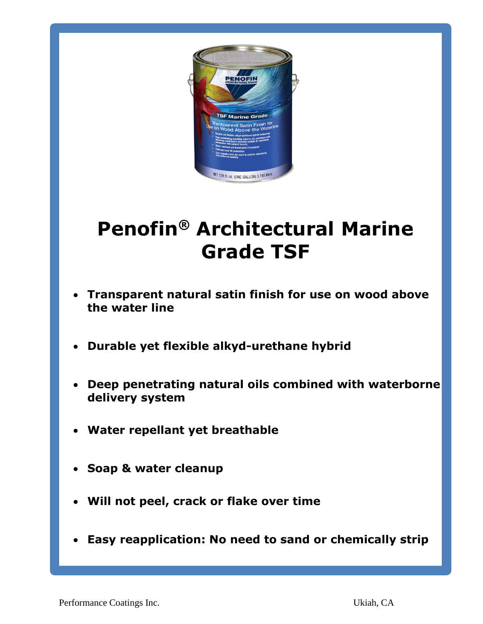

# **Penofin® Architectural Marine Grade TSF**

- **Transparent natural satin finish for use on wood above the water line**
- **Durable yet flexible alkyd-urethane hybrid**
- **Deep penetrating natural oils combined with waterborne delivery system**
- **Water repellant yet breathable**
- **Soap & water cleanup**
- **Will not peel, crack or flake over time**
- **Easy reapplication: No need to sand or chemically strip**